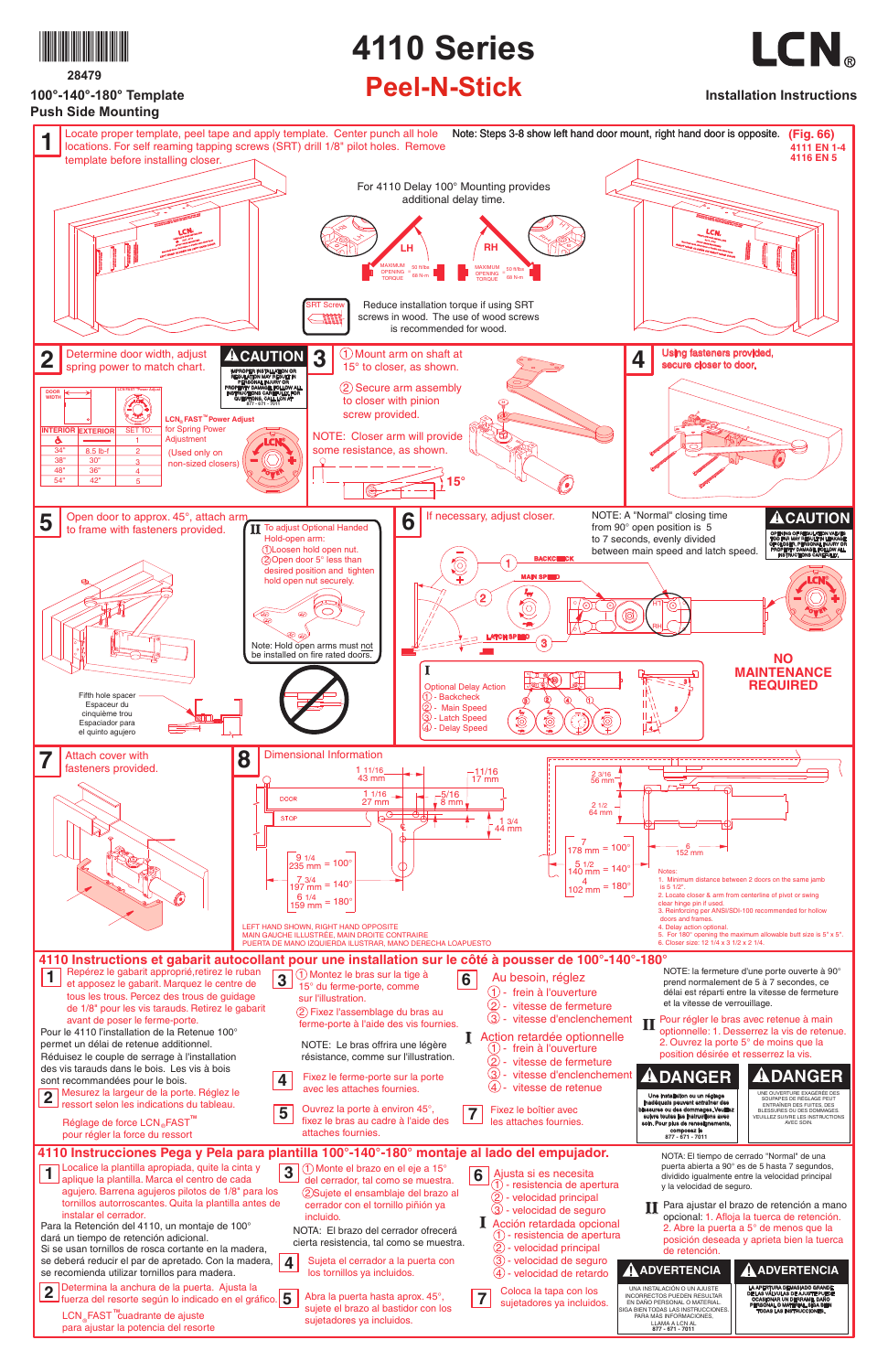

# **28479**

**100°-140°-180° Template**

# **4110 Series**

# **Peel-N-Stick Installation Instructions**

LCN.

NOTA: El tiempo de cerrado "Normal" de una puerta abierta a 90° es de 5 hasta 7 segundos, dividido igualmente entre la velocidad principal y la velocidad de seguro.

**I** Action retardée optionnelle  $(1)$  - frein à l'ouverture

- 2 vitesse de fermeture
- $\circled{3}$  vitesse d'enclenchement
- $(4)$  vitesse de retenue

**6** Ajusta si es necesita 1) - resistencia de apertura  $\overline{2}$  - velocidad principal

- $(3)$  velocidad de seguro
- **I** Acción retardada opcional
	- $(1)$  resistencia de apertura
	- $\overline{2}$  velocidad principal
	- 3 velocidad de seguro
	- $(4)$  velocidad de retardo

### UNA INSTALACIÓN O UN AJUSTE INCORRECTOS PUEDEN RESULTAR **! ADVERTENCIA ! ADVERTENCIA**

LA APERTURA DEMASIADO GRANDE DE LAS VÁLVULAS DE AJUSTE PUEDE OCASIONAR UN DERRAME, DAÑO PERSONAL O MATERIAL. SIGA BIEN TODAS LAS INSTRUCCIONES.



# **! DANGER**

EN DAÑO PERSONAL O MATERIAL. GA BIEN TODAS LAS INSTRUCCIONES PARA MÁS INFORMACIONES, LLAMA A LCN AL **877 - 671 - 7011**

**2** Determina la anchura de la puerta. Ajusta la<br>fuerza del resorte según lo indicado en el grá fuerza del resorte según lo indicado en el gráfico. **5**

LCN<sub></sub>FAST<sup>™</sup>cuadrante de ajuste para ajustar la potencia del resorte

UNE OUVERTURE EXAGÉRÉE DES SOUPAPES DE RÉGLAGE PEUT ENTRAÎNER DES FUITES, DES BLESSURES OU DES DOMMAGES VEUILLEZ SUIVRE LES INSTRUCTIONS AVEC SOIN.



Une installation ou un réglage inadéquats peuvent entraîner des blessures ou des dommages. Veuillez suivre toutes les instructions avec soin. Pour plus de renseignements,

composez le **877 - 671 - 7011**



**4110 Instrucciones Pega y Pela para plantilla 100°-140°-180° montaje al lado del empujador.**



**2** Mesurez la largeur de la porte. Réglez le ressort selon les indications du tableau.

Réglage de force LCN<sub></sub> FAST<sup>™</sup> pour régler la force du ressort

**5** Ouvrez la porte à environ 45°, fixez le bras au cadre à l'aide des



Pour le 4110 l'installation de la Retenue 100° permet un délai de retenue additionnel.

3 - vitesse d'enclenchement

**7** Coloca la tapa con los sujetadores ya incluidos.

**4** Fixez le ferme-porte sur la porte avec les attaches fournies.

attaches fournies.

**4**

# avant de poser le ferme-porte.

Fixez le boîtier avec les attaches fournies.

NOTE: Le bras offrira une légère résistance, comme sur l'illustration.

- **3**  $(1)$  Monte el brazo en el eje a 15° del cerrador, tal como se muestra. 2 Sujete el ensamblaje del brazo al
	- cerrador con el tornillo piñión ya incluido.

- Sujeta el cerrador a la puerta con los tornillos ya incluidos.
- Abra la puerta hasta aprox. 45°, sujete el brazo al bastidor con los sujetadores ya incluidos.

**II** Pour régler le bras avec retenue à main<br>
optionnelle: 1 Desserrez la vis de reten optionnelle: 1. Desserrez la vis de retenue. 2. Ouvrez la porte 5° de moins que la position désirée et resserrez la vis.

2 Fixez l'assemblage du bras au ferme-porte à l'aide des vis fournies.

> **II** Para ajustar el brazo de retención a mano<br>Opeiopal: 1. Afloja la tuerca de retención opcional: 1. Afloja la tuerca de retención. 2. Abre la puerta a 5° de menos que la posición deseada y aprieta bien la tuerca de retención.

NOTA: El brazo del cerrador ofrecerá cierta resistencia, tal como se muestra.

- Localice la plantilla apropiada, quite la cinta y
- **1** Localice la plantilla. Marca el centro de cada
	- agujero. Barrena agujeros pilotos de 1/8" para los tornillos autorroscantes. Quita la plantilla antes de instalar el cerrador.

Para la Retención del 4110, un montaje de 100° dará un tiempo de retención adicional. Si se usan tornillos de rosca cortante en la madera, se deberá reducir el par de apretado. Con la madera,

se recomienda utilizar tornillos para madera.

Réduisez le couple de serrage à l'installation des vis tarauds dans le bois. Les vis à bois sont recommandées pour le bois.